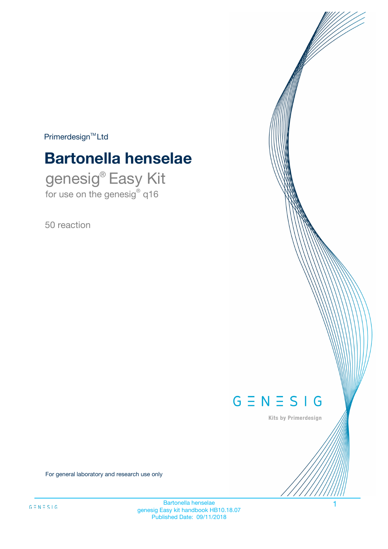$Primerdesign^{\text{TM}}Ltd$ 

# **Bartonella henselae**

genesig® Easy Kit for use on the genesig® q16

50 reaction



Kits by Primerdesign

For general laboratory and research use only

Bartonella henselae genesig Easy kit handbook HB10.18.07 Published Date: 09/11/2018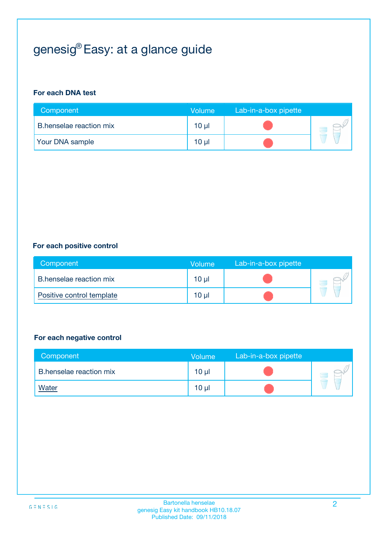# genesig® Easy: at a glance guide

#### **For each DNA test**

| Component               | <b>Volume</b>   | Lab-in-a-box pipette |  |
|-------------------------|-----------------|----------------------|--|
| B.henselae reaction mix | $10 \mu$        |                      |  |
| <b>Your DNA sample</b>  | 10 <sub>µ</sub> |                      |  |

#### **For each positive control**

| Component                 | Volume          | Lab-in-a-box pipette |  |
|---------------------------|-----------------|----------------------|--|
| B.henselae reaction mix   | $10 \mu$        |                      |  |
| Positive control template | 10 <sub>µ</sub> |                      |  |

#### **For each negative control**

| Component               | <b>Volume</b>   | Lab-in-a-box pipette |  |
|-------------------------|-----------------|----------------------|--|
| B.henselae reaction mix | 10 <sub>µ</sub> |                      |  |
| <u>Water</u>            | 10 <sub>µ</sub> |                      |  |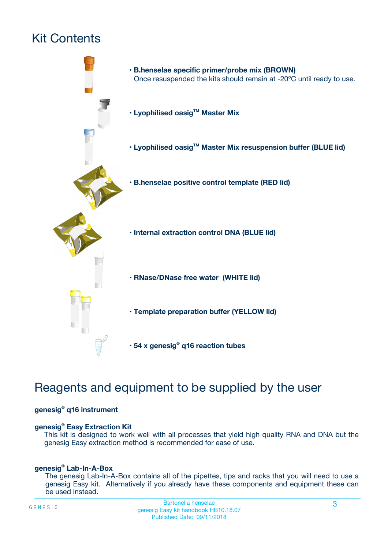# Kit Contents



# Reagents and equipment to be supplied by the user

#### **genesig® q16 instrument**

#### **genesig® Easy Extraction Kit**

This kit is designed to work well with all processes that yield high quality RNA and DNA but the genesig Easy extraction method is recommended for ease of use.

#### **genesig® Lab-In-A-Box**

The genesig Lab-In-A-Box contains all of the pipettes, tips and racks that you will need to use a genesig Easy kit. Alternatively if you already have these components and equipment these can be used instead.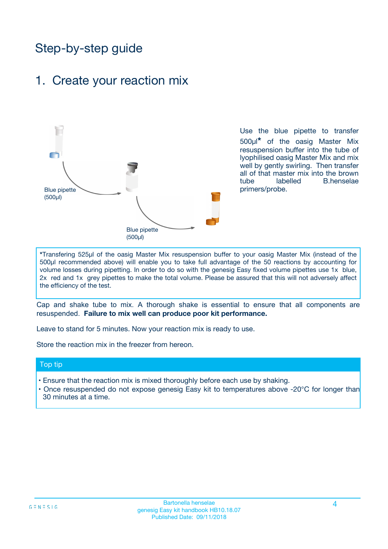# Step-by-step guide

### 1. Create your reaction mix



Use the blue pipette to transfer 500µl**\*** of the oasig Master Mix resuspension buffer into the tube of lyophilised oasig Master Mix and mix well by gently swirling. Then transfer all of that master mix into the brown tube labelled B.henselae primers/probe.

**\***Transfering 525µl of the oasig Master Mix resuspension buffer to your oasig Master Mix (instead of the 500µl recommended above) will enable you to take full advantage of the 50 reactions by accounting for volume losses during pipetting. In order to do so with the genesig Easy fixed volume pipettes use 1x blue, 2x red and 1x grey pipettes to make the total volume. Please be assured that this will not adversely affect the efficiency of the test.

Cap and shake tube to mix. A thorough shake is essential to ensure that all components are resuspended. **Failure to mix well can produce poor kit performance.**

Leave to stand for 5 minutes. Now your reaction mix is ready to use.

Store the reaction mix in the freezer from hereon.

#### Top tip

- Ensure that the reaction mix is mixed thoroughly before each use by shaking.
- Once resuspended do not expose genesig Easy kit to temperatures above -20°C for longer than 30 minutes at a time.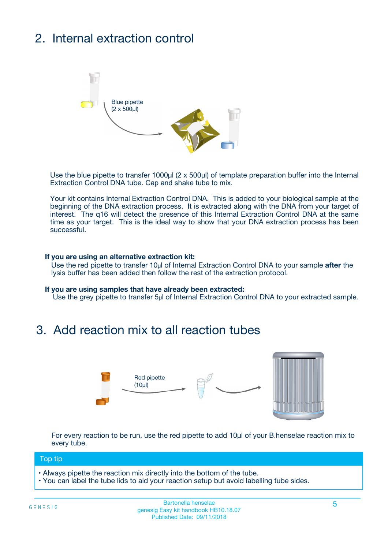# 2. Internal extraction control



Use the blue pipette to transfer 1000µl (2 x 500µl) of template preparation buffer into the Internal Extraction Control DNA tube. Cap and shake tube to mix.

Your kit contains Internal Extraction Control DNA. This is added to your biological sample at the beginning of the DNA extraction process. It is extracted along with the DNA from your target of interest. The q16 will detect the presence of this Internal Extraction Control DNA at the same time as your target. This is the ideal way to show that your DNA extraction process has been successful.

#### **If you are using an alternative extraction kit:**

Use the red pipette to transfer 10µl of Internal Extraction Control DNA to your sample **after** the lysis buffer has been added then follow the rest of the extraction protocol.

#### **If you are using samples that have already been extracted:**

Use the grey pipette to transfer 5µl of Internal Extraction Control DNA to your extracted sample.

### 3. Add reaction mix to all reaction tubes



For every reaction to be run, use the red pipette to add 10µl of your B.henselae reaction mix to every tube.

#### Top tip

- Always pipette the reaction mix directly into the bottom of the tube.
- You can label the tube lids to aid your reaction setup but avoid labelling tube sides.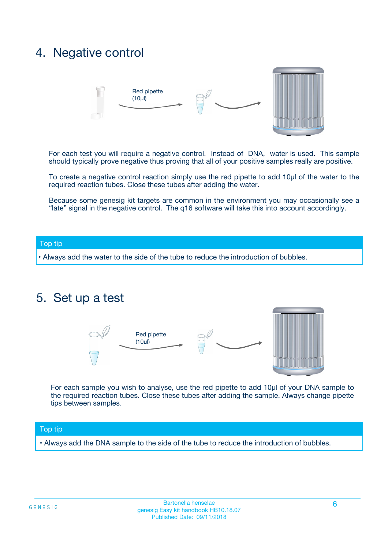## 4. Negative control



For each test you will require a negative control. Instead of DNA, water is used. This sample should typically prove negative thus proving that all of your positive samples really are positive.

To create a negative control reaction simply use the red pipette to add 10µl of the water to the required reaction tubes. Close these tubes after adding the water.

Because some genesig kit targets are common in the environment you may occasionally see a "late" signal in the negative control. The q16 software will take this into account accordingly.

#### Top tip

**•** Always add the water to the side of the tube to reduce the introduction of bubbles.

### 5. Set up a test



For each sample you wish to analyse, use the red pipette to add 10µl of your DNA sample to the required reaction tubes. Close these tubes after adding the sample. Always change pipette tips between samples.

#### Top tip

**•** Always add the DNA sample to the side of the tube to reduce the introduction of bubbles.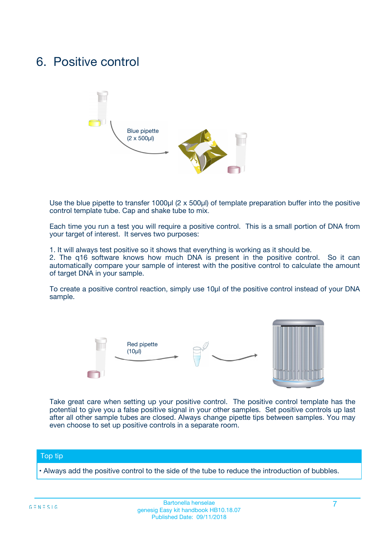### 6. Positive control



Use the blue pipette to transfer 1000µl (2 x 500µl) of template preparation buffer into the positive control template tube. Cap and shake tube to mix.

Each time you run a test you will require a positive control. This is a small portion of DNA from your target of interest. It serves two purposes:

1. It will always test positive so it shows that everything is working as it should be.

2. The q16 software knows how much DNA is present in the positive control. So it can automatically compare your sample of interest with the positive control to calculate the amount of target DNA in your sample.

To create a positive control reaction, simply use 10µl of the positive control instead of your DNA sample.



Take great care when setting up your positive control. The positive control template has the potential to give you a false positive signal in your other samples. Set positive controls up last after all other sample tubes are closed. Always change pipette tips between samples. You may even choose to set up positive controls in a separate room.

#### Top tip

**•** Always add the positive control to the side of the tube to reduce the introduction of bubbles.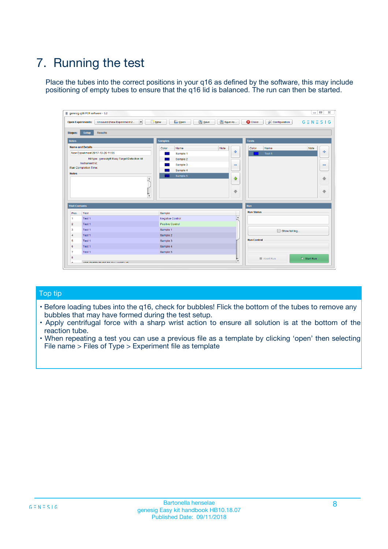# 7. Running the test

Place the tubes into the correct positions in your q16 as defined by the software, this may include positioning of empty tubes to ensure that the q16 lid is balanced. The run can then be started.

| qenesig q16 PCR software - 1.2                                               |                                   | $\Box$                                                                                          |
|------------------------------------------------------------------------------|-----------------------------------|-------------------------------------------------------------------------------------------------|
| $\vert \cdot \vert$<br>Unsaved (New Experiment 2<br><b>Open Experiments:</b> | <b>D</b> Open<br>R <sub>New</sub> | Save<br>Save As<br><b>C</b> Close<br><b>&amp; Configuration</b><br>$G \equiv N \equiv S \mid G$ |
| <b>Setup</b><br><b>Results</b><br>Stages:                                    |                                   |                                                                                                 |
| <b>Notes</b>                                                                 | <b>Samples</b>                    | <b>Tests</b>                                                                                    |
| <b>Name and Details</b>                                                      | Name<br>Color                     | Note<br>Color<br>Note<br>Name                                                                   |
| New Experiment 2017-10-26 11:06                                              | Sample 1                          | ÷<br>条<br>Test 1                                                                                |
| Kit type: genesig® Easy Target Detection kit                                 | Sample 2                          |                                                                                                 |
| Instrument Id.:                                                              | Sample 3                          | $\qquad \qquad \blacksquare$<br>$\qquad \qquad \blacksquare$                                    |
| <b>Run Completion Time:</b>                                                  | Sample 4                          |                                                                                                 |
| <b>Notes</b><br><b>A</b><br>$\overline{\mathbf v}$                           | Sample 5                          | ♦<br>4<br>÷<br>₩                                                                                |
| <b>Well Contents</b>                                                         |                                   | <b>Run</b>                                                                                      |
| Pos.<br>Test                                                                 | Sample                            | <b>Run Status</b>                                                                               |
| Test 1<br>$\blacktriangleleft$                                               | Negative Control                  | $\blacktriangle$                                                                                |
| $\overline{2}$<br>Test 1                                                     | <b>Positive Control</b>           |                                                                                                 |
| $\overline{\mathbf{3}}$<br>Test 1                                            | Sample 1                          | Show full log                                                                                   |
| Test 1<br>4                                                                  | Sample 2                          |                                                                                                 |
| 5<br>Test 1                                                                  | Sample 3                          | <b>Run Control</b>                                                                              |
| Test 1<br>6                                                                  | Sample 4                          |                                                                                                 |
| $\overline{7}$<br>Test 1                                                     | Sample 5                          |                                                                                                 |
| 8                                                                            |                                   | $\triangleright$ Start Run<br>Abort Run                                                         |
| <b>JOD FURTY TUDE TO BUILDED IN</b>                                          |                                   | $\overline{\mathbf{v}}$                                                                         |

#### Top tip

- Before loading tubes into the q16, check for bubbles! Flick the bottom of the tubes to remove any bubbles that may have formed during the test setup.
- Apply centrifugal force with a sharp wrist action to ensure all solution is at the bottom of the reaction tube.
- When repeating a test you can use a previous file as a template by clicking 'open' then selecting File name > Files of Type > Experiment file as template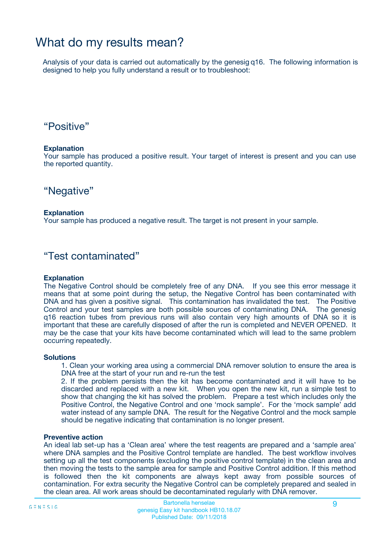## What do my results mean?

Analysis of your data is carried out automatically by the genesig q16. The following information is designed to help you fully understand a result or to troubleshoot:

### "Positive"

#### **Explanation**

Your sample has produced a positive result. Your target of interest is present and you can use the reported quantity.

"Negative"

#### **Explanation**

Your sample has produced a negative result. The target is not present in your sample.

### "Test contaminated"

#### **Explanation**

The Negative Control should be completely free of any DNA. If you see this error message it means that at some point during the setup, the Negative Control has been contaminated with DNA and has given a positive signal. This contamination has invalidated the test. The Positive Control and your test samples are both possible sources of contaminating DNA. The genesig q16 reaction tubes from previous runs will also contain very high amounts of DNA so it is important that these are carefully disposed of after the run is completed and NEVER OPENED. It may be the case that your kits have become contaminated which will lead to the same problem occurring repeatedly.

#### **Solutions**

1. Clean your working area using a commercial DNA remover solution to ensure the area is DNA free at the start of your run and re-run the test

2. If the problem persists then the kit has become contaminated and it will have to be discarded and replaced with a new kit. When you open the new kit, run a simple test to show that changing the kit has solved the problem. Prepare a test which includes only the Positive Control, the Negative Control and one 'mock sample'. For the 'mock sample' add water instead of any sample DNA. The result for the Negative Control and the mock sample should be negative indicating that contamination is no longer present.

#### **Preventive action**

An ideal lab set-up has a 'Clean area' where the test reagents are prepared and a 'sample area' where DNA samples and the Positive Control template are handled. The best workflow involves setting up all the test components (excluding the positive control template) in the clean area and then moving the tests to the sample area for sample and Positive Control addition. If this method is followed then the kit components are always kept away from possible sources of contamination. For extra security the Negative Control can be completely prepared and sealed in the clean area. All work areas should be decontaminated regularly with DNA remover.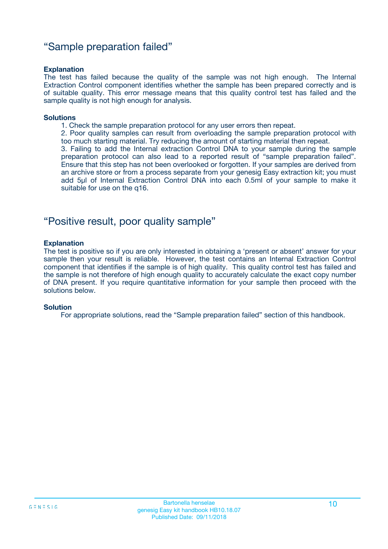### "Sample preparation failed"

#### **Explanation**

The test has failed because the quality of the sample was not high enough. The Internal Extraction Control component identifies whether the sample has been prepared correctly and is of suitable quality. This error message means that this quality control test has failed and the sample quality is not high enough for analysis.

#### **Solutions**

- 1. Check the sample preparation protocol for any user errors then repeat.
- 2. Poor quality samples can result from overloading the sample preparation protocol with too much starting material. Try reducing the amount of starting material then repeat.

3. Failing to add the Internal extraction Control DNA to your sample during the sample preparation protocol can also lead to a reported result of "sample preparation failed". Ensure that this step has not been overlooked or forgotten. If your samples are derived from an archive store or from a process separate from your genesig Easy extraction kit; you must add 5µl of Internal Extraction Control DNA into each 0.5ml of your sample to make it suitable for use on the q16.

### "Positive result, poor quality sample"

#### **Explanation**

The test is positive so if you are only interested in obtaining a 'present or absent' answer for your sample then your result is reliable. However, the test contains an Internal Extraction Control component that identifies if the sample is of high quality. This quality control test has failed and the sample is not therefore of high enough quality to accurately calculate the exact copy number of DNA present. If you require quantitative information for your sample then proceed with the solutions below.

#### **Solution**

For appropriate solutions, read the "Sample preparation failed" section of this handbook.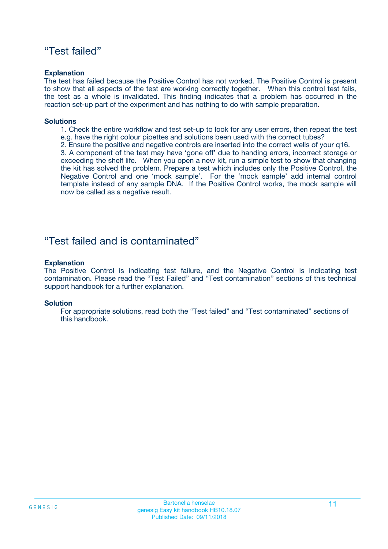### "Test failed"

#### **Explanation**

The test has failed because the Positive Control has not worked. The Positive Control is present to show that all aspects of the test are working correctly together. When this control test fails, the test as a whole is invalidated. This finding indicates that a problem has occurred in the reaction set-up part of the experiment and has nothing to do with sample preparation.

#### **Solutions**

- 1. Check the entire workflow and test set-up to look for any user errors, then repeat the test e.g. have the right colour pipettes and solutions been used with the correct tubes?
- 2. Ensure the positive and negative controls are inserted into the correct wells of your q16.

3. A component of the test may have 'gone off' due to handing errors, incorrect storage or exceeding the shelf life. When you open a new kit, run a simple test to show that changing the kit has solved the problem. Prepare a test which includes only the Positive Control, the Negative Control and one 'mock sample'. For the 'mock sample' add internal control template instead of any sample DNA. If the Positive Control works, the mock sample will now be called as a negative result.

### "Test failed and is contaminated"

#### **Explanation**

The Positive Control is indicating test failure, and the Negative Control is indicating test contamination. Please read the "Test Failed" and "Test contamination" sections of this technical support handbook for a further explanation.

#### **Solution**

For appropriate solutions, read both the "Test failed" and "Test contaminated" sections of this handbook.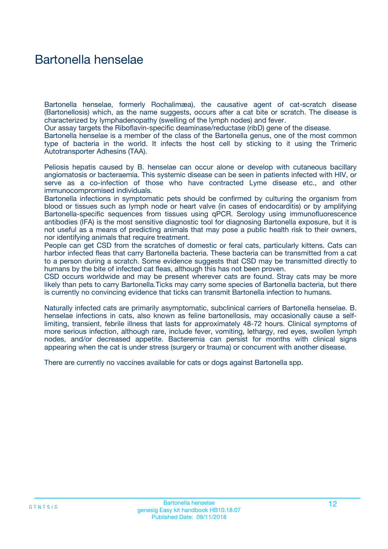## Bartonella henselae

Bartonella henselae, formerly Rochalimæa), the causative agent of cat-scratch disease (Bartonellosis) which, as the name suggests, occurs after a cat bite or scratch. The disease is characterized by lymphadenopathy (swelling of the lymph nodes) and fever.

Our assay targets the Riboflavin-specific deaminase/reductase (ribD) gene of the disease.

Bartonella henselae is a member of the class of the Bartonella genus, one of the most common type of bacteria in the world. It infects the host cell by sticking to it using the Trimeric Autotransporter Adhesins (TAA).

Peliosis hepatis caused by B. henselae can occur alone or develop with cutaneous bacillary angiomatosis or bacteraemia. This systemic disease can be seen in patients infected with HIV, or serve as a co-infection of those who have contracted Lyme disease etc., and other immunocompromised individuals.

Bartonella infections in symptomatic pets should be confirmed by culturing the organism from blood or tissues such as lymph node or heart valve (in cases of endocarditis) or by amplifying Bartonella-specific sequences from tissues using qPCR. Serology using immunofluorescence antibodies (IFA) is the most sensitive diagnostic tool for diagnosing Bartonella exposure, but it is not useful as a means of predicting animals that may pose a public health risk to their owners, nor identifying animals that require treatment.

People can get CSD from the scratches of domestic or feral cats, particularly kittens. Cats can harbor infected fleas that carry Bartonella bacteria. These bacteria can be transmitted from a cat to a person during a scratch. Some evidence suggests that CSD may be transmitted directly to humans by the bite of infected cat fleas, although this has not been proven.

CSD occurs worldwide and may be present wherever cats are found. Stray cats may be more likely than pets to carry Bartonella.Ticks may carry some species of Bartonella bacteria, but there is currently no convincing evidence that ticks can transmit Bartonella infection to humans.

Naturally infected cats are primarily asymptomatic, subclinical carriers of Bartonella henselae. B. henselae infections in cats, also known as feline bartonellosis, may occasionally cause a selflimiting, transient, febrile illness that lasts for approximately 48-72 hours. Clinical symptoms of more serious infection, although rare, include fever, vomiting, lethargy, red eyes, swollen lymph nodes, and/or decreased appetite. Bacteremia can persist for months with clinical signs appearing when the cat is under stress (surgery or trauma) or concurrent with another disease.

There are currently no vaccines available for cats or dogs against Bartonella spp.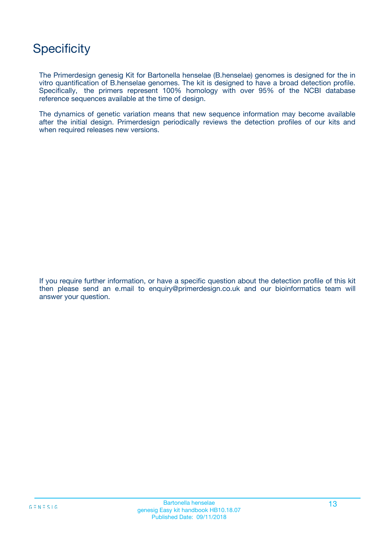# **Specificity**

The Primerdesign genesig Kit for Bartonella henselae (B.henselae) genomes is designed for the in vitro quantification of B.henselae genomes. The kit is designed to have a broad detection profile. Specifically, the primers represent 100% homology with over 95% of the NCBI database reference sequences available at the time of design.

The dynamics of genetic variation means that new sequence information may become available after the initial design. Primerdesign periodically reviews the detection profiles of our kits and when required releases new versions.

If you require further information, or have a specific question about the detection profile of this kit then please send an e.mail to enquiry@primerdesign.co.uk and our bioinformatics team will answer your question.